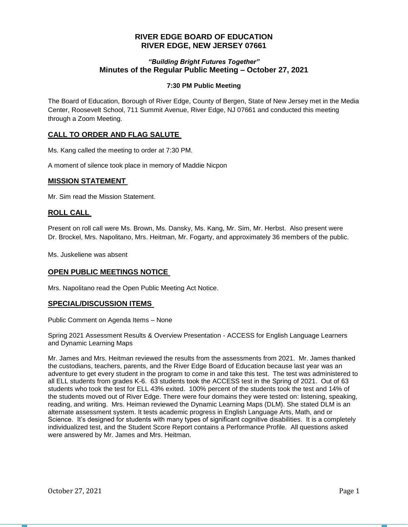# **RIVER EDGE BOARD OF EDUCATION RIVER EDGE, NEW JERSEY 07661**

## *"Building Bright Futures Together"* **Minutes of the Regular Public Meeting – October 27, 2021**

## **7:30 PM Public Meeting**

The Board of Education, Borough of River Edge, County of Bergen, State of New Jersey met in the Media Center, Roosevelt School, 711 Summit Avenue, River Edge, NJ 07661 and conducted this meeting through a Zoom Meeting.

# **CALL TO ORDER AND FLAG SALUTE**

Ms. Kang called the meeting to order at 7:30 PM.

A moment of silence took place in memory of Maddie Nicpon

## **MISSION STATEMENT**

Mr. Sim read the Mission Statement.

## **ROLL CALL**

Present on roll call were Ms. Brown, Ms. Dansky, Ms. Kang, Mr. Sim, Mr. Herbst. Also present were Dr. Brockel, Mrs. Napolitano, Mrs. Heitman, Mr. Fogarty, and approximately 36 members of the public.

Ms. Juskeliene was absent

## **OPEN PUBLIC MEETINGS NOTICE**

Mrs. Napolitano read the Open Public Meeting Act Notice.

## **SPECIAL/DISCUSSION ITEMS**

Public Comment on Agenda Items – None

Spring 2021 Assessment Results & Overview Presentation - ACCESS for English Language Learners and Dynamic Learning Maps

Mr. James and Mrs. Heitman reviewed the results from the assessments from 2021. Mr. James thanked the custodians, teachers, parents, and the River Edge Board of Education because last year was an adventure to get every student in the program to come in and take this test. The test was administered to all ELL students from grades K-6. 63 students took the ACCESS test in the Spring of 2021. Out of 63 students who took the test for ELL 43% exited. 100% percent of the students took the test and 14% of the students moved out of River Edge. There were four domains they were tested on: listening, speaking, reading, and writing. Mrs. Heiman reviewed the Dynamic Learning Maps (DLM). She stated DLM is an alternate assessment system. It tests academic progress in English Language Arts, Math, and or Science. It's designed for students with many types of significant cognitive disabilities. It is a completely individualized test, and the Student Score Report contains a Performance Profile. All questions asked were answered by Mr. James and Mrs. Heitman.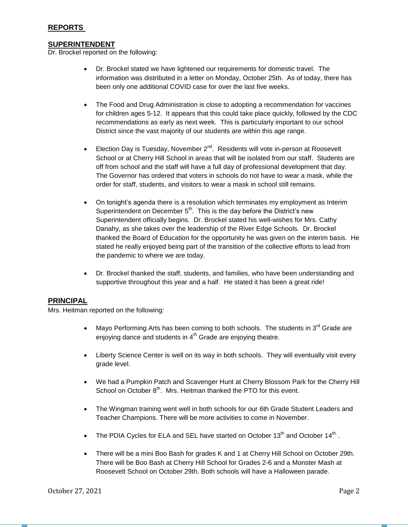## **SUPERINTENDENT**

Dr. Brockel reported on the following:

- Dr. Brockel stated we have lightened our requirements for domestic travel. The information was distributed in a letter on Monday, October 25th. As of today, there has been only one additional COVID case for over the last five weeks.
- The Food and Drug Administration is close to adopting a recommendation for vaccines for children ages 5-12. It appears that this could take place quickly, followed by the CDC recommendations as early as next week. This is particularly important to our school District since the vast majority of our students are within this age range.
- Election Day is Tuesday, November  $2^{nd}$ . Residents will vote in-person at Roosevelt School or at Cherry Hill School in areas that will be isolated from our staff. Students are off from school and the staff will have a full day of professional development that day. The Governor has ordered that voters in schools do not have to wear a mask, while the order for staff, students, and visitors to wear a mask in school still remains.
- On tonight's agenda there is a resolution which terminates my employment as Interim Superintendent on December  $5<sup>th</sup>$ . This is the day before the District's new Superintendent officially begins. Dr. Brockel stated his well-wishes for Mrs. Cathy Danahy, as she takes over the leadership of the River Edge Schools. Dr. Brockel thanked the Board of Education for the opportunity he was given on the interim basis. He stated he really enjoyed being part of the transition of the collective efforts to lead from the pandemic to where we are today.
- Dr. Brockel thanked the staff, students, and families, who have been understanding and supportive throughout this year and a half. He stated it has been a great ride!

## **PRINCIPAL**

Mrs. Heitman reported on the following:

- Mayo Performing Arts has been coming to both schools. The students in  $3^{\text{rd}}$  Grade are enjoying dance and students in  $4<sup>th</sup>$  Grade are enjoying theatre.
- Liberty Science Center is well on its way in both schools. They will eventually visit every grade level.
- We had a Pumpkin Patch and Scavenger Hunt at Cherry Blossom Park for the Cherry Hill School on October  $8<sup>th</sup>$ . Mrs. Heitman thanked the PTO for this event.
- The Wingman training went well in both schools for our 6th Grade Student Leaders and Teacher Champions. There will be more activities to come in November.
- The PDIA Cycles for ELA and SEL have started on October 13<sup>th</sup> and October 14<sup>th.</sup>.
- There will be a mini Boo Bash for grades K and 1 at Cherry Hill School on October 29th. There will be Boo Bash at Cherry Hill School for Grades 2-6 and a Monster Mash at Roosevelt School on October 29th. Both schools will have a Halloween parade.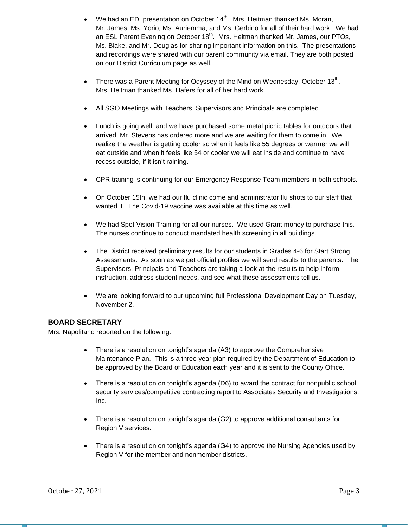- We had an EDI presentation on October 14<sup>th</sup>. Mrs. Heitman thanked Ms. Moran, Mr. James, Ms. Yorio, Ms. Auriemma, and Ms. Gerbino for all of their hard work. We had an ESL Parent Evening on October 18<sup>th</sup>. Mrs. Heitman thanked Mr. James, our PTOs, Ms. Blake, and Mr. Douglas for sharing important information on this. The presentations and recordings were shared with our parent community via email. They are both posted on our District Curriculum page as well.
- There was a Parent Meeting for Odyssey of the Mind on Wednesday, October 13<sup>th</sup>. Mrs. Heitman thanked Ms. Hafers for all of her hard work.
- All SGO Meetings with Teachers, Supervisors and Principals are completed.
- Lunch is going well, and we have purchased some metal picnic tables for outdoors that arrived. Mr. Stevens has ordered more and we are waiting for them to come in. We realize the weather is getting cooler so when it feels like 55 degrees or warmer we will eat outside and when it feels like 54 or cooler we will eat inside and continue to have recess outside, if it isn't raining.
- CPR training is continuing for our Emergency Response Team members in both schools.
- On October 15th, we had our flu clinic come and administrator flu shots to our staff that wanted it. The Covid-19 vaccine was available at this time as well.
- We had Spot Vision Training for all our nurses. We used Grant money to purchase this. The nurses continue to conduct mandated health screening in all buildings.
- The District received preliminary results for our students in Grades 4-6 for Start Strong Assessments. As soon as we get official profiles we will send results to the parents. The Supervisors, Principals and Teachers are taking a look at the results to help inform instruction, address student needs, and see what these assessments tell us.
- We are looking forward to our upcoming full Professional Development Day on Tuesday, November 2.

# **BOARD SECRETARY**

Mrs. Napolitano reported on the following:

- There is a resolution on tonight's agenda (A3) to approve the Comprehensive Maintenance Plan. This is a three year plan required by the Department of Education to be approved by the Board of Education each year and it is sent to the County Office.
- There is a resolution on tonight's agenda (D6) to award the contract for nonpublic school security services/competitive contracting report to Associates Security and Investigations, Inc.
- There is a resolution on tonight's agenda (G2) to approve additional consultants for Region V services.
- There is a resolution on tonight's agenda (G4) to approve the Nursing Agencies used by Region V for the member and nonmember districts.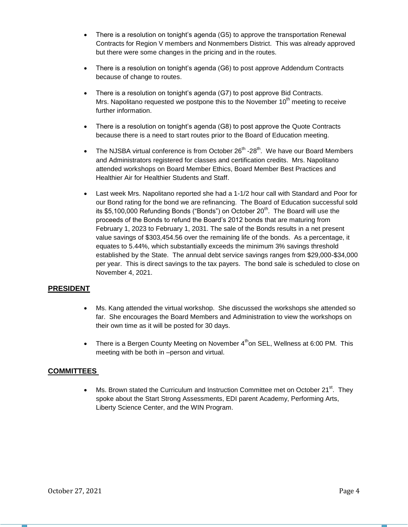- There is a resolution on tonight's agenda (G5) to approve the transportation Renewal Contracts for Region V members and Nonmembers District. This was already approved but there were some changes in the pricing and in the routes.
- There is a resolution on tonight's agenda (G6) to post approve Addendum Contracts because of change to routes.
- There is a resolution on tonight's agenda (G7) to post approve Bid Contracts. Mrs. Napolitano requested we postpone this to the November  $10<sup>th</sup>$  meeting to receive further information.
- There is a resolution on tonight's agenda (G8) to post approve the Quote Contracts because there is a need to start routes prior to the Board of Education meeting.
- The NJSBA virtual conference is from October  $26<sup>th</sup>$  -28<sup>th</sup>. We have our Board Members and Administrators registered for classes and certification credits. Mrs. Napolitano attended workshops on Board Member Ethics, Board Member Best Practices and Healthier Air for Healthier Students and Staff.
- Last week Mrs. Napolitano reported she had a 1-1/2 hour call with Standard and Poor for our Bond rating for the bond we are refinancing. The Board of Education successful sold its \$5,100,000 Refunding Bonds ("Bonds") on October 20<sup>th</sup>. The Board will use the proceeds of the Bonds to refund the Board's 2012 bonds that are maturing from February 1, 2023 to February 1, 2031. The sale of the Bonds results in a net present value savings of \$303,454.56 over the remaining life of the bonds. As a percentage, it equates to 5.44%, which substantially exceeds the minimum 3% savings threshold established by the State. The annual debt service savings ranges from \$29,000-\$34,000 per year. This is direct savings to the tax payers. The bond sale is scheduled to close on November 4, 2021.

# **PRESIDENT**

- Ms. Kang attended the virtual workshop. She discussed the workshops she attended so far. She encourages the Board Members and Administration to view the workshops on their own time as it will be posted for 30 days.
- There is a Bergen County Meeting on November  $4<sup>th</sup>$ on SEL, Wellness at 6:00 PM. This meeting with be both in –person and virtual.

## **COMMITTEES**

• Ms. Brown stated the Curriculum and Instruction Committee met on October 21 $^{\text{st}}$ . They spoke about the Start Strong Assessments, EDI parent Academy, Performing Arts, Liberty Science Center, and the WIN Program.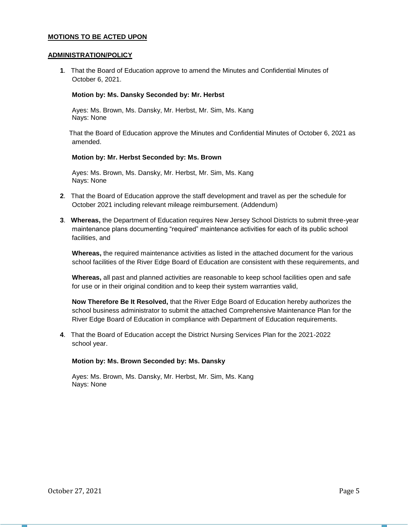### **MOTIONS TO BE ACTED UPON**

#### **ADMINISTRATION/POLICY**

**1**. That the Board of Education approve to amend the Minutes and Confidential Minutes of October 6, 2021.

#### **Motion by: Ms. Dansky Seconded by: Mr. Herbst**

Ayes: Ms. Brown, Ms. Dansky, Mr. Herbst, Mr. Sim, Ms. Kang Nays: None

 That the Board of Education approve the Minutes and Confidential Minutes of October 6, 2021 as amended.

#### **Motion by: Mr. Herbst Seconded by: Ms. Brown**

Ayes: Ms. Brown, Ms. Dansky, Mr. Herbst, Mr. Sim, Ms. Kang Nays: None

- **2**. That the Board of Education approve the staff development and travel as per the schedule for October 2021 including relevant mileage reimbursement. (Addendum)
- **3**. **Whereas,** the Department of Education requires New Jersey School Districts to submit three-year maintenance plans documenting "required" maintenance activities for each of its public school facilities, and

**Whereas,** the required maintenance activities as listed in the attached document for the various school facilities of the River Edge Board of Education are consistent with these requirements, and

**Whereas,** all past and planned activities are reasonable to keep school facilities open and safe for use or in their original condition and to keep their system warranties valid,

**Now Therefore Be It Resolved,** that the River Edge Board of Education hereby authorizes the school business administrator to submit the attached Comprehensive Maintenance Plan for the River Edge Board of Education in compliance with Department of Education requirements.

**4**. That the Board of Education accept the District Nursing Services Plan for the 2021-2022 school year.

### **Motion by: Ms. Brown Seconded by: Ms. Dansky**

Ayes: Ms. Brown, Ms. Dansky, Mr. Herbst, Mr. Sim, Ms. Kang Nays: None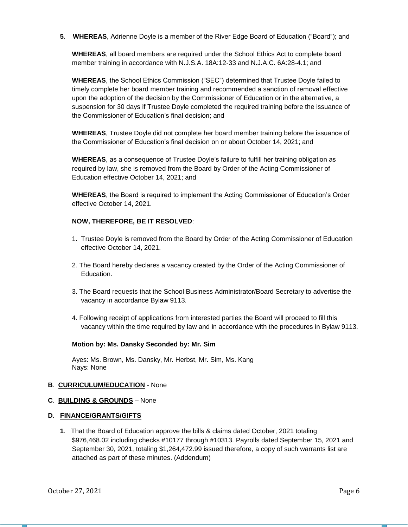**5**. **WHEREAS**, Adrienne Doyle is a member of the River Edge Board of Education ("Board"); and

**WHEREAS**, all board members are required under the School Ethics Act to complete board member training in accordance with N.J.S.A. 18A:12-33 and N.J.A.C. 6A:28-4.1; and

**WHEREAS**, the School Ethics Commission ("SEC") determined that Trustee Doyle failed to timely complete her board member training and recommended a sanction of removal effective upon the adoption of the decision by the Commissioner of Education or in the alternative, a suspension for 30 days if Trustee Doyle completed the required training before the issuance of the Commissioner of Education's final decision; and

**WHEREAS**, Trustee Doyle did not complete her board member training before the issuance of the Commissioner of Education's final decision on or about October 14, 2021; and

**WHEREAS**, as a consequence of Trustee Doyle's failure to fulfill her training obligation as required by law, she is removed from the Board by Order of the Acting Commissioner of Education effective October 14, 2021; and

**WHEREAS**, the Board is required to implement the Acting Commissioner of Education's Order effective October 14, 2021.

### **NOW, THEREFORE, BE IT RESOLVED**:

- 1. Trustee Doyle is removed from the Board by Order of the Acting Commissioner of Education effective October 14, 2021.
- 2. The Board hereby declares a vacancy created by the Order of the Acting Commissioner of Education.
- 3. The Board requests that the School Business Administrator/Board Secretary to advertise the vacancy in accordance Bylaw 9113.
- 4. Following receipt of applications from interested parties the Board will proceed to fill this vacancy within the time required by law and in accordance with the procedures in Bylaw 9113.

### **Motion by: Ms. Dansky Seconded by: Mr. Sim**

Ayes: Ms. Brown, Ms. Dansky, Mr. Herbst, Mr. Sim, Ms. Kang Nays: None

### **B**. **CURRICULUM/EDUCATION** - None

#### **C**. **BUILDING & GROUNDS** – None

#### **D. FINANCE/GRANTS/GIFTS**

**1**. That the Board of Education approve the bills & claims dated October, 2021 totaling \$976,468.02 including checks #10177 through #10313. Payrolls dated September 15, 2021 and September 30, 2021, totaling \$1,264,472.99 issued therefore, a copy of such warrants list are attached as part of these minutes. (Addendum)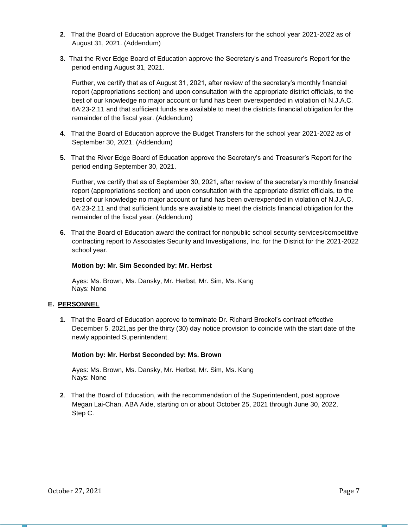- **2**. That the Board of Education approve the Budget Transfers for the school year 2021-2022 as of August 31, 2021. (Addendum)
- **3**. That the River Edge Board of Education approve the Secretary's and Treasurer's Report for the period ending August 31, 2021.

Further, we certify that as of August 31, 2021, after review of the secretary's monthly financial report (appropriations section) and upon consultation with the appropriate district officials, to the best of our knowledge no major account or fund has been overexpended in violation of N.J.A.C. 6A:23-2.11 and that sufficient funds are available to meet the districts financial obligation for the remainder of the fiscal year. (Addendum)

- **4**. That the Board of Education approve the Budget Transfers for the school year 2021-2022 as of September 30, 2021. (Addendum)
- **5**. That the River Edge Board of Education approve the Secretary's and Treasurer's Report for the period ending September 30, 2021.

Further, we certify that as of September 30, 2021, after review of the secretary's monthly financial report (appropriations section) and upon consultation with the appropriate district officials, to the best of our knowledge no major account or fund has been overexpended in violation of N.J.A.C. 6A:23-2.11 and that sufficient funds are available to meet the districts financial obligation for the remainder of the fiscal year. (Addendum)

**6**. That the Board of Education award the contract for nonpublic school security services/competitive contracting report to Associates Security and Investigations, Inc. for the District for the 2021-2022 school year.

### **Motion by: Mr. Sim Seconded by: Mr. Herbst**

Ayes: Ms. Brown, Ms. Dansky, Mr. Herbst, Mr. Sim, Ms. Kang Nays: None

## **E. PERSONNEL**

**1**. That the Board of Education approve to terminate Dr. Richard Brockel's contract effective December 5, 2021,as per the thirty (30) day notice provision to coincide with the start date of the newly appointed Superintendent.

### **Motion by: Mr. Herbst Seconded by: Ms. Brown**

Ayes: Ms. Brown, Ms. Dansky, Mr. Herbst, Mr. Sim, Ms. Kang Nays: None

**2**. That the Board of Education, with the recommendation of the Superintendent, post approve Megan Lai-Chan, ABA Aide, starting on or about October 25, 2021 through June 30, 2022, Step C.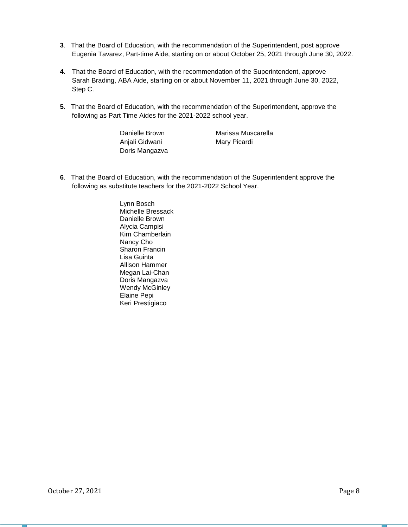- **3**. That the Board of Education, with the recommendation of the Superintendent, post approve Eugenia Tavarez, Part-time Aide, starting on or about October 25, 2021 through June 30, 2022.
- **4**. That the Board of Education, with the recommendation of the Superintendent, approve Sarah Brading, ABA Aide, starting on or about November 11, 2021 through June 30, 2022, Step C.
- **5**. That the Board of Education, with the recommendation of the Superintendent, approve the following as Part Time Aides for the 2021-2022 school year.

Danielle Brown Anjali Gidwani Doris Mangazva

Marissa Muscarella Mary Picardi

**6**. That the Board of Education, with the recommendation of the Superintendent approve the following as substitute teachers for the 2021-2022 School Year.

> Lynn Bosch Michelle Bressack Danielle Brown Alycia Campisi Kim Chamberlain Nancy Cho Sharon Francin Lisa Guinta Allison Hammer Megan Lai-Chan Doris Mangazva Wendy McGinley Elaine Pepi Keri Prestigiaco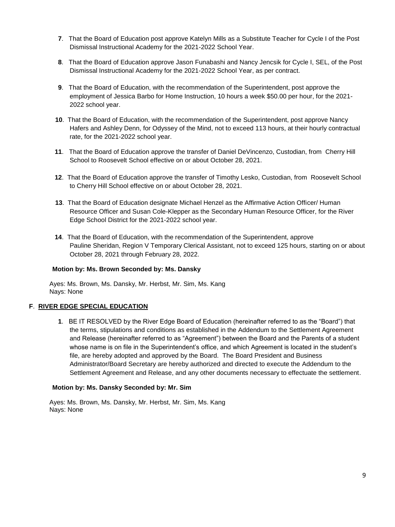- **7**. That the Board of Education post approve Katelyn Mills as a Substitute Teacher for Cycle I of the Post Dismissal Instructional Academy for the 2021-2022 School Year.
- **8**. That the Board of Education approve Jason Funabashi and Nancy Jencsik for Cycle I, SEL, of the Post Dismissal Instructional Academy for the 2021-2022 School Year, as per contract.
- **9**. That the Board of Education, with the recommendation of the Superintendent, post approve the employment of Jessica Barbo for Home Instruction, 10 hours a week \$50.00 per hour, for the 2021- 2022 school year.
- **10**. That the Board of Education, with the recommendation of the Superintendent, post approve Nancy Hafers and Ashley Denn, for Odyssey of the Mind, not to exceed 113 hours, at their hourly contractual rate, for the 2021-2022 school year.
- **11**. That the Board of Education approve the transfer of Daniel DeVincenzo, Custodian, from Cherry Hill School to Roosevelt School effective on or about October 28, 2021.
- **12**. That the Board of Education approve the transfer of Timothy Lesko, Custodian, from Roosevelt School to Cherry Hill School effective on or about October 28, 2021.
- **13**. That the Board of Education designate Michael Henzel as the Affirmative Action Officer/ Human Resource Officer and Susan Cole-Klepper as the Secondary Human Resource Officer, for the River Edge School District for the 2021-2022 school year.
- **14**. That the Board of Education, with the recommendation of the Superintendent, approve Pauline Sheridan, Region V Temporary Clerical Assistant, not to exceed 125 hours, starting on or about October 28, 2021 through February 28, 2022.

### **Motion by: Ms. Brown Seconded by: Ms. Dansky**

Ayes: Ms. Brown, Ms. Dansky, Mr. Herbst, Mr. Sim, Ms. Kang Nays: None

## **F**. **RIVER EDGE SPECIAL EDUCATION**

**1**. BE IT RESOLVED by the River Edge Board of Education (hereinafter referred to as the "Board") that the terms, stipulations and conditions as established in the Addendum to the Settlement Agreement and Release (hereinafter referred to as "Agreement") between the Board and the Parents of a student whose name is on file in the Superintendent's office, and which Agreement is located in the student's file, are hereby adopted and approved by the Board. The Board President and Business Administrator/Board Secretary are hereby authorized and directed to execute the Addendum to the Settlement Agreement and Release, and any other documents necessary to effectuate the settlement.

### **Motion by: Ms. Dansky Seconded by: Mr. Sim**

Ayes: Ms. Brown, Ms. Dansky, Mr. Herbst, Mr. Sim, Ms. Kang Nays: None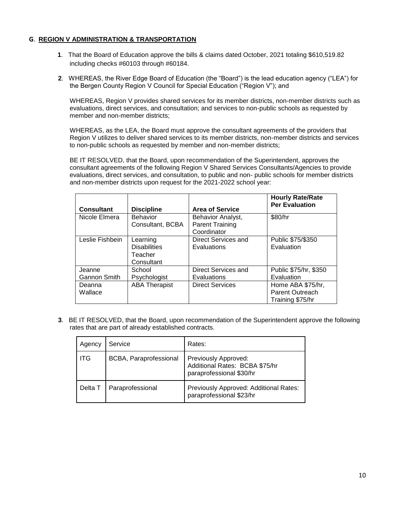## **G**. **REGION V ADMINISTRATION & TRANSPORTATION**

- **1**. That the Board of Education approve the bills & claims dated October, 2021 totaling \$610,519.82 including checks #60103 through #60184.
- **2**. WHEREAS, the River Edge Board of Education (the "Board") is the lead education agency ("LEA") for the Bergen County Region V Council for Special Education ("Region V"); and

WHEREAS, Region V provides shared services for its member districts, non-member districts such as evaluations, direct services, and consultation; and services to non-public schools as requested by member and non-member districts;

WHEREAS, as the LEA, the Board must approve the consultant agreements of the providers that Region V utilizes to deliver shared services to its member districts, non-member districts and services to non-public schools as requested by member and non-member districts;

BE IT RESOLVED, that the Board, upon recommendation of the Superintendent, approves the consultant agreements of the following Region V Shared Services Consultants/Agencies to provide evaluations, direct services, and consultation, to public and non- public schools for member districts and non-member districts upon request for the 2021-2022 school year:

| <b>Consultant</b>      | <b>Discipline</b>                                        | <b>Area of Service</b>                                     | <b>Hourly Rate/Rate</b><br><b>Per Evaluation</b>         |
|------------------------|----------------------------------------------------------|------------------------------------------------------------|----------------------------------------------------------|
| Nicole Elmera          | <b>Behavior</b><br>Consultant, BCBA                      | Behavior Analyst,<br><b>Parent Training</b><br>Coordinator | \$80/hr                                                  |
| Leslie Fishbein        | Learning<br><b>Disabilities</b><br>Teacher<br>Consultant | Direct Services and<br><b>Evaluations</b>                  | Public \$75/\$350<br>Evaluation                          |
| Jeanne<br>Gannon Smith | School<br>Psychologist                                   | Direct Services and<br>Evaluations                         | Public \$75/hr, \$350<br>Evaluation                      |
| Deanna<br>Wallace      | <b>ABA Therapist</b>                                     | <b>Direct Services</b>                                     | Home ABA \$75/hr,<br>Parent Outreach<br>Training \$75/hr |

**3**. BE IT RESOLVED, that the Board, upon recommendation of the Superintendent approve the following rates that are part of already established contracts.

| Agency  | Service                | Rates:                                                                             |
|---------|------------------------|------------------------------------------------------------------------------------|
| ITG     | BCBA, Paraprofessional | Previously Approved:<br>Additional Rates: BCBA \$75/hr<br>paraprofessional \$30/hr |
| Delta T | Paraprofessional       | Previously Approved: Additional Rates:<br>paraprofessional \$23/hr                 |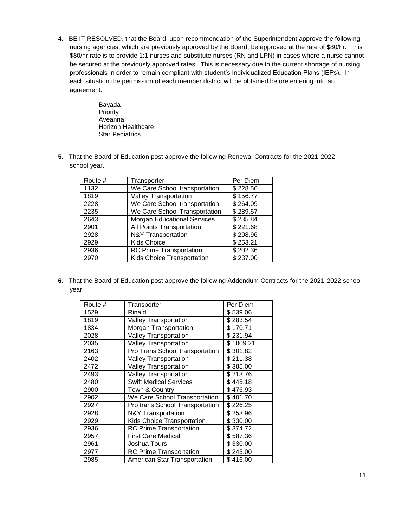- . BE IT RESOLVED, that the Board, upon recommendation of the Superintendent approve the following nursing agencies, which are previously approved by the Board, be approved at the rate of \$80/hr. This \$80/hr rate is to provide 1:1 nurses and substitute nurses (RN and LPN) in cases where a nurse cannot be secured at the previously approved rates. This is necessary due to the current shortage of nursing professionals in order to remain compliant with student's Individualized Education Plans (IEPs). In each situation the permission of each member district will be obtained before entering into an agreement.
	- Bayada Priority Aveanna Horizon Healthcare Star Pediatrics
- . That the Board of Education post approve the following Renewal Contracts for the 2021-2022 school year.

| Transporter                        | Per Diem |
|------------------------------------|----------|
| We Care School transportation      | \$228.56 |
| <b>Valley Transportation</b>       | \$156.77 |
| We Care School transportation      | \$264.09 |
| We Care School Transportation      | \$289.57 |
| <b>Morgan Educational Services</b> | \$235.84 |
| All Points Transportation          | \$221.68 |
| <b>N&amp;Y Transportation</b>      | \$298.96 |
| <b>Kids Choice</b>                 | \$253.21 |
| <b>RC Prime Transportation</b>     | \$202.36 |
| Kids Choice Transportation         | \$237.00 |
|                                    |          |

. That the Board of Education post approve the following Addendum Contracts for the 2021-2022 school year.

| Route # | Transporter                       | Per Diem  |
|---------|-----------------------------------|-----------|
| 1529    | Rinaldi                           | \$539.06  |
| 1819    | <b>Valley Transportation</b>      | \$283.54  |
| 1834    | Morgan Transportation             | \$170.71  |
| 2028    | <b>Valley Transportation</b>      | \$231.94  |
| 2035    | <b>Valley Transportation</b>      | \$1009.21 |
| 2163    | Pro Trans School transportation   | \$301.82  |
| 2402    | <b>Valley Transportation</b>      | \$211.38  |
| 2472    | <b>Valley Transportation</b>      | \$385.00  |
| 2493    | <b>Valley Transportation</b>      | \$213.76  |
| 2480    | <b>Swift Medical Services</b>     | \$445.18  |
| 2900    | Town & Country                    | \$476.93  |
| 2902    | We Care School Transportation     | \$401.70  |
| 2927    | Pro trans School Transportation   | \$226.25  |
| 2928    | <b>N&amp;Y Transportation</b>     | \$253.96  |
| 2929    | <b>Kids Choice Transportation</b> | \$330.00  |
| 2936    | <b>RC Prime Transportation</b>    | \$374.72  |
| 2957    | <b>First Care Medical</b>         | \$587.36  |
| 2961    | Joshua Tours                      | \$330.00  |
| 2977    | <b>RC Prime Transportation</b>    | \$245.00  |
| 2985    | American Star Transportation      | \$416.00  |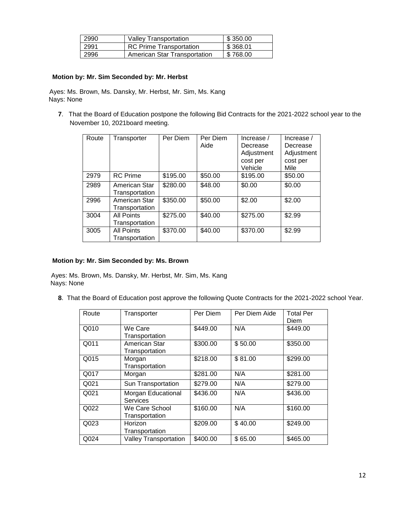| 2990 | <b>Valley Transportation</b>        | \$350.00 |
|------|-------------------------------------|----------|
| 2991 | <b>RC Prime Transportation</b>      | \$368.01 |
| 2996 | <b>American Star Transportation</b> | \$768.00 |

## **Motion by: Mr. Sim Seconded by: Mr. Herbst**

Ayes: Ms. Brown, Ms. Dansky, Mr. Herbst, Mr. Sim, Ms. Kang Nays: None

**7**. That the Board of Education postpone the following Bid Contracts for the 2021-2022 school year to the November 10, 2021board meeting.

| Route | Transporter                         | Per Diem | Per Diem<br>Aide | Increase $/$<br>Decrease<br>Adjustment<br>cost per<br>Vehicle | Increase /<br>Decrease<br>Adjustment<br>cost per<br>Mile |
|-------|-------------------------------------|----------|------------------|---------------------------------------------------------------|----------------------------------------------------------|
| 2979  | <b>RC</b> Prime                     | \$195.00 | \$50.00          | \$195.00                                                      | \$50.00                                                  |
| 2989  | American Star<br>Transportation     | \$280.00 | \$48.00          | \$0.00                                                        | \$0.00                                                   |
| 2996  | American Star<br>Transportation     | \$350.00 | \$50.00          | \$2.00                                                        | \$2.00                                                   |
| 3004  | <b>All Points</b><br>Transportation | \$275.00 | \$40.00          | \$275.00                                                      | \$2.99                                                   |
| 3005  | <b>All Points</b><br>Transportation | \$370.00 | \$40.00          | \$370.00                                                      | \$2.99                                                   |

## **Motion by: Mr. Sim Seconded by: Ms. Brown**

Ayes: Ms. Brown, Ms. Dansky, Mr. Herbst, Mr. Sim, Ms. Kang Nays: None

**8**. That the Board of Education post approve the following Quote Contracts for the 2021-2022 school Year.

| Route | Transporter                      | Per Diem | Per Diem Aide | <b>Total Per</b><br>Diem |
|-------|----------------------------------|----------|---------------|--------------------------|
| Q010  | We Care<br>Transportation        | \$449.00 | N/A           | \$449.00                 |
| Q011  | American Star<br>Transportation  | \$300.00 | \$50.00       | \$350.00                 |
| Q015  | Morgan<br>Transportation         | \$218.00 | \$81.00       | \$299.00                 |
| Q017  | Morgan                           | \$281.00 | N/A           | \$281.00                 |
| Q021  | Sun Transportation               | \$279.00 | N/A           | \$279.00                 |
| Q021  | Morgan Educational<br>Services   | \$436.00 | N/A           | \$436.00                 |
| Q022  | We Care School<br>Transportation | \$160.00 | N/A           | \$160.00                 |
| Q023  | Horizon<br>Transportation        | \$209.00 | \$40.00       | \$249.00                 |
| Q024  | <b>Valley Transportation</b>     | \$400.00 | \$65.00       | \$465.00                 |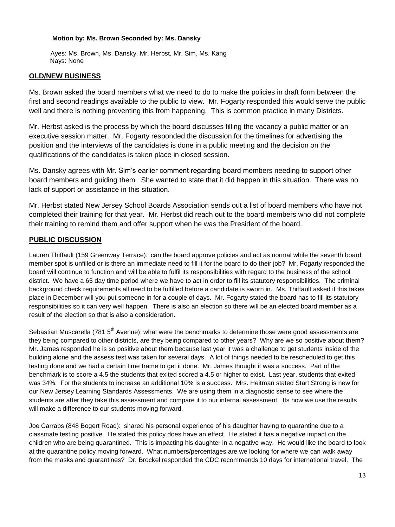### **Motion by: Ms. Brown Seconded by: Ms. Dansky**

 Ayes: Ms. Brown, Ms. Dansky, Mr. Herbst, Mr. Sim, Ms. Kang Nays: None

## **OLD/NEW BUSINESS**

Ms. Brown asked the board members what we need to do to make the policies in draft form between the first and second readings available to the public to view. Mr. Fogarty responded this would serve the public well and there is nothing preventing this from happening. This is common practice in many Districts.

Mr. Herbst asked is the process by which the board discusses filling the vacancy a public matter or an executive session matter. Mr. Fogarty responded the discussion for the timelines for advertising the position and the interviews of the candidates is done in a public meeting and the decision on the qualifications of the candidates is taken place in closed session.

Ms. Dansky agrees with Mr. Sim's earlier comment regarding board members needing to support other board members and guiding them. She wanted to state that it did happen in this situation. There was no lack of support or assistance in this situation.

Mr. Herbst stated New Jersey School Boards Association sends out a list of board members who have not completed their training for that year. Mr. Herbst did reach out to the board members who did not complete their training to remind them and offer support when he was the President of the board.

# **PUBLIC DISCUSSION**

Lauren Thiffault (159 Greenway Terrace): can the board approve policies and act as normal while the seventh board member spot is unfilled or is there an immediate need to fill it for the board to do their job? Mr. Fogarty responded the board will continue to function and will be able to fulfil its responsibilities with regard to the business of the school district. We have a 65 day time period where we have to act in order to fill its statutory responsibilities. The criminal background check requirements all need to be fulfilled before a candidate is sworn in. Ms. Thiffault asked if this takes place in December will you put someone in for a couple of days. Mr. Fogarty stated the board has to fill its statutory responsibilities so it can very well happen. There is also an election so there will be an elected board member as a result of the election so that is also a consideration.

Sebastian Muscarella (781 5<sup>th</sup> Avenue): what were the benchmarks to determine those were good assessments are they being compared to other districts, are they being compared to other years? Why are we so positive about them? Mr. James responded he is so positive about them because last year it was a challenge to get students inside of the building alone and the assess test was taken for several days. A lot of things needed to be rescheduled to get this testing done and we had a certain time frame to get it done. Mr. James thought it was a success. Part of the benchmark is to score a 4.5 the students that exited scored a 4.5 or higher to exist. Last year, students that exited was 34%. For the students to increase an additional 10% is a success. Mrs. Heitman stated Start Strong is new for our New Jersey Learning Standards Assessments. We are using them in a diagnostic sense to see where the students are after they take this assessment and compare it to our internal assessment. Its how we use the results will make a difference to our students moving forward.

Joe Carrabs (848 Bogert Road): shared his personal experience of his daughter having to quarantine due to a classmate testing positive. He stated this policy does have an effect. He stated it has a negative impact on the children who are being quarantined. This is impacting his daughter in a negative way. He would like the board to look at the quarantine policy moving forward. What numbers/percentages are we looking for where we can walk away from the masks and quarantines? Dr. Brockel responded the CDC recommends 10 days for international travel. The